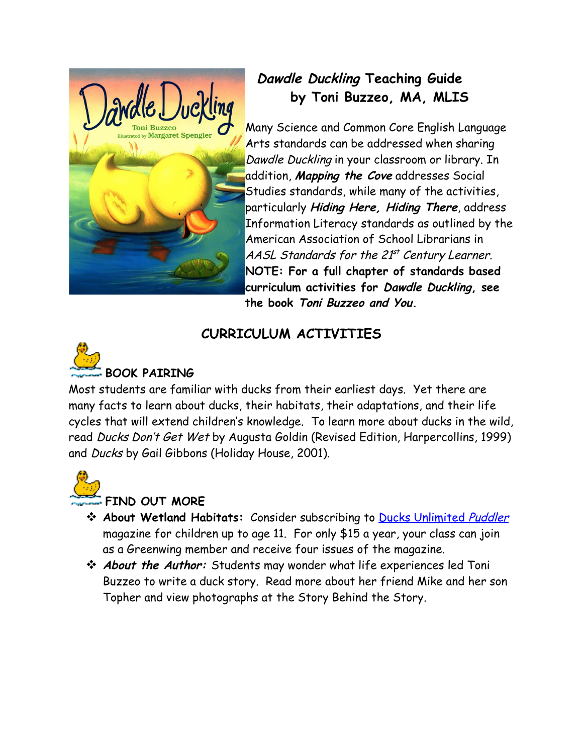

## **Dawdle Duckling Teaching Guide by Toni Buzzeo, MA, MLIS**

Many Science and Common Core English Language Arts standards can be addressed when sharing Dawdle Duckling in your classroom or library. In addition, **Mapping the Cove** addresses Social Studies standards, while many of the activities, particularly **Hiding Here, Hiding There**, address Information Literacy standards as outlined by the American Association of School Librarians in AASL Standards for the 21<sup>st</sup> Century Learner. **NOTE: For a full chapter of standards based curriculum activities for Dawdle Duckling, see the book Toni Buzzeo and You.**

## **CURRICULUM ACTIVITIES**



Most students are familiar with ducks from their earliest days. Yet there are many facts to learn about ducks, their habitats, their adaptations, and their life cycles that will extend children's knowledge. To learn more about ducks in the wild, read Ducks Don't Get Wet by Augusta Goldin (Revised Edition, Harpercollins, 1999) and Ducks by Gail Gibbons (Holiday House, 2001).



## **FIND OUT MORE**

- **About Wetland Habitats:** Consider subscribing to [Ducks Unlimited](http://www.ducks.org/news-media/puddler-magazine/about-puddler-magazine) Puddler magazine for children up to age 11. For only \$15 a year, your class can join as a Greenwing member and receive four issues of the magazine.
- **About the Author:** Students may wonder what life experiences led Toni Buzzeo to write a duck story. Read more about her friend Mike and her son Topher and view photographs at the Story Behind the Story.